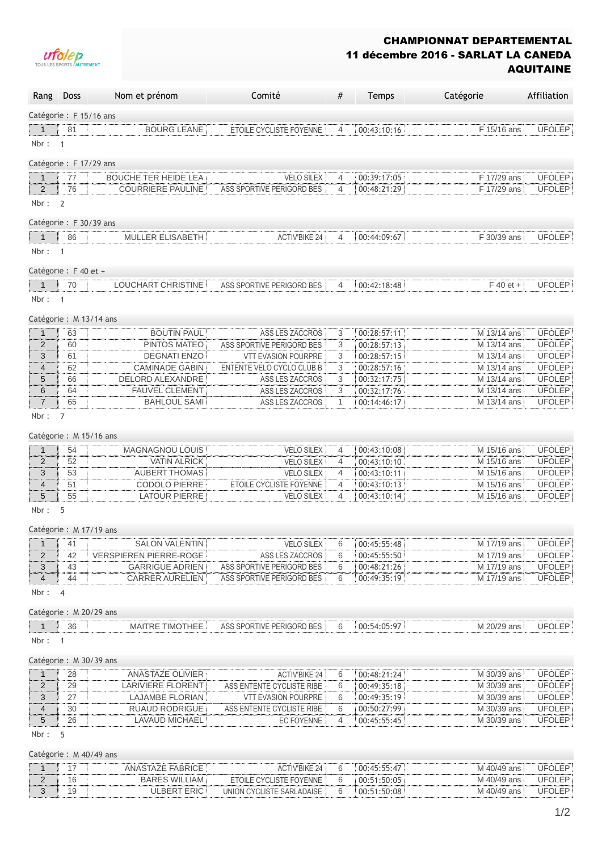

## CHAMPIONNAT DEPARTEMENTAL 11 décembre 2016 - SARLAT LA CANEDA AQUITAINE

| Rang                    | Doss                 | Nom et prénom                 | Comité                     | #              | Temps       | Catégorie   | Affiliation   |
|-------------------------|----------------------|-------------------------------|----------------------------|----------------|-------------|-------------|---------------|
| Catégorie : F 15/16 ans |                      |                               |                            |                |             |             |               |
| $\mathbf{1}$            | 81                   | <b>BOURG LEANE</b>            | ETOILE CYCLISTE FOYENNE    | $\overline{4}$ | 00:43:10:16 | F 15/16 ans | <b>UFOLEP</b> |
| Nbr:                    | $\overline{1}$       |                               |                            |                |             |             |               |
| Catégorie : F 17/29 ans |                      |                               |                            |                |             |             |               |
| $\mathbf{1}$            | 77                   | <b>BOUCHE TER HEIDE LEA</b>   | <b>VELO SILEX</b>          | 4              | 00:39:17:05 | F 17/29 ans | <b>UFOLEP</b> |
| $\overline{2}$          | 76                   | <b>COURRIERE PAULINE</b>      | ASS SPORTIVE PERIGORD BES  | 4              | 00:48:21:29 | F 17/29 ans | <b>UFOLEP</b> |
| Nbr:                    | 2                    |                               |                            |                |             |             |               |
| Catégorie : F 30/39 ans |                      |                               |                            |                |             |             |               |
|                         |                      |                               |                            |                |             |             |               |
| $\mathbf{1}$            | 86                   | MULLER ELISABETH              | <b>ACTIV'BIKE 24</b>       | $\overline{4}$ | 00:44:09:67 | F 30/39 ans | <b>UFOLEP</b> |
| Nbr:                    | $\mathbf{1}$         |                               |                            |                |             |             |               |
| Catégorie : F 40 et +   |                      |                               |                            |                |             |             |               |
| $\mathbf{1}$            | 70                   | LOUCHART CHRISTINE            | ASS SPORTIVE PERIGORD BES  | $\overline{4}$ | 00:42:18:48 | $F$ 40 et + | <b>UFOLEP</b> |
| Nbr:                    | $\mathbf{1}$         |                               |                            |                |             |             |               |
|                         |                      | Catégorie : M 13/14 ans       |                            |                |             |             |               |
| $\mathbf{1}$            | 63                   | <b>BOUTIN PAUL</b>            | ASS LES ZACCROS            | 3              | 00:28:57:11 | M 13/14 ans | <b>UFOLEP</b> |
| $\overline{2}$          | 60                   | PINTOS MATEO                  | ASS SPORTIVE PERIGORD BES  | 3              | 00:28:57:13 | M 13/14 ans | <b>UFOLEP</b> |
| 3                       | 61                   | <b>DEGNATI ENZO</b>           | <b>VTT EVASION POURPRE</b> | 3              | 00:28:57:15 | M 13/14 ans | <b>UFOLEP</b> |
| $\overline{4}$          | 62                   | <b>CAMINADE GABIN</b>         | ENTENTE VELO CYCLO CLUB B  | 3              | 00:28:57:16 | M 13/14 ans | <b>UFOLEP</b> |
| 5                       | 66                   | DELORD ALEXANDRE              | ASS LES ZACCROS            | 3              | 00:32:17:75 | M 13/14 ans | <b>UFOLEP</b> |
| 6                       | 64                   | <b>FAUVEL CLEMENT</b>         | ASS LES ZACCROS            | 3              | 00:32:17:76 | M 13/14 ans | <b>UFOLEP</b> |
| $\overline{7}$          | 65                   | <b>BAHLOUL SAMI</b>           | ASS LES ZACCROS            | $\mathbf{1}$   | 00:14:46:17 | M 13/14 ans | <b>UFOLEP</b> |
| Nbr:                    | $\overline{7}$       |                               |                            |                |             |             |               |
|                         |                      | Catégorie : M 15/16 ans       |                            |                |             |             |               |
| $\mathbf{1}$            | 54                   | MAGNAGNOU LOUIS               | <b>VELO SILEX</b>          | $\overline{4}$ | 00:43:10:08 | M 15/16 ans | <b>UFOLEP</b> |
| $\overline{2}$          | 52                   | <b>VATIN ALRICK</b>           | <b>VELO SILEX</b>          | $\overline{4}$ | 00:43:10:10 | M 15/16 ans | <b>UFOLEP</b> |
| 3                       | 53                   | <b>AUBERT THOMAS</b>          | <b>VELO SILEX</b>          | 4              | 00:43:10:11 | M 15/16 ans | <b>UFOLEP</b> |
| 4                       | 51                   | <b>CODOLO PIERRE</b>          | ETOILE CYCLISTE FOYENNE    | $\overline{4}$ | 00:43:10:13 | M 15/16 ans | <b>UFOLEP</b> |
| 5                       | 55                   | <b>LATOUR PIERRE</b>          | <b>VELO SILEX</b>          | $\overline{4}$ | 00:43:10:14 | M 15/16 ans | <b>UFOLEP</b> |
| Nbr:                    | 5                    |                               |                            |                |             |             |               |
|                         |                      |                               |                            |                |             |             |               |
|                         |                      | Catégorie : M 17/19 ans       |                            |                |             |             |               |
| 1                       | 41                   | <b>SALON VALENTIN</b>         | <b>VELO SILEX</b>          | 6              | 00:45:55:48 | M 17/19 ans | <b>UFOLEP</b> |
| $\overline{2}$          | 42                   | <b>VERSPIEREN PIERRE-ROGE</b> | ASS LES ZACCROS            | 6              | 00:45:55:50 | M 17/19 ans | <b>UFOLEP</b> |
| 3                       | 43                   | <b>GARRIGUE ADRIEN</b>        | ASS SPORTIVE PERIGORD BES  | 6              | 00:48:21:26 | M 17/19 ans | <b>UFOLEP</b> |
| $\overline{4}$<br>Nbr:  | 44<br>$\overline{4}$ | <b>CARRER AURELIEN</b>        | ASS SPORTIVE PERIGORD BES  | 6              | 00:49:35:19 | M 17/19 ans | <b>UFOLEP</b> |
|                         |                      |                               |                            |                |             |             |               |
|                         |                      | Catégorie : M 20/29 ans       |                            |                |             |             |               |
| $\mathbf{1}$            | 36                   | <b>MAITRE TIMOTHEE</b>        | ASS SPORTIVE PERIGORD BES  | 6              | 00:54:05:97 | M 20/29 ans | <b>UFOLEP</b> |
| Nbr:                    | $\overline{1}$       |                               |                            |                |             |             |               |
|                         |                      | Catégorie : M 30/39 ans       |                            |                |             |             |               |
| $\mathbf 1$             | 28                   | <b>ANASTAZE OLIVIER</b>       | <b>ACTIV'BIKE 24</b>       | 6              | 00:48:21:24 | M 30/39 ans | <b>UFOLEP</b> |
| $\overline{2}$          | 29                   | <b>LARIVIERE FLORENT</b>      | ASS ENTENTE CYCLISTE RIBE  | 6              | 00:49:35:18 | M 30/39 ans | <b>UFOLEP</b> |
| 3                       | 27                   | <b>LAJAMBE FLORIAN</b>        | <b>VTT EVASION POURPRE</b> | 6              | 00:49:35:19 | M 30/39 ans | <b>UFOLEP</b> |
| $\overline{4}$          | 30                   | <b>RUAUD RODRIGUE</b>         | ASS ENTENTE CYCLISTE RIBE  | 6              | 00:50:27:99 | M 30/39 ans | <b>UFOLEP</b> |
| 5                       | 26                   | <b>LAVAUD MICHAEL</b>         | EC FOYENNE                 | 4              | 00:45:55:45 | M 30/39 ans | <b>UFOLEP</b> |
| Nbr:                    | 5                    |                               |                            |                |             |             |               |
|                         |                      | Catégorie : M 40/49 ans       |                            |                |             |             |               |

|    | ANASTAZE FABRICE     | ACTIV'BIKE 24             | 6 | 00:45:55:47 | M 40/49 ans | <b>UFOLEP</b> |
|----|----------------------|---------------------------|---|-------------|-------------|---------------|
| 16 | <b>BARES WILLIAM</b> | ETOILE CYCLISTE FOYENNE   | 6 | 00:51:50:05 | M 40/49 ans | <b>UFOLEP</b> |
| 19 | ULBERT ERIC I        | UNION CYCLISTE SARLADAISE | 6 | 00:51:50:08 | M 40/49 ans | <b>UFOLEP</b> |